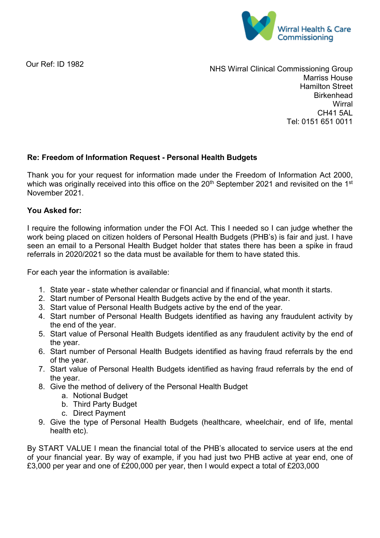

Our Ref: ID 1982

NHS Wirral Clinical Commissioning Group Marriss House Hamilton Street **Birkenhead Wirral** CH41 5AL Tel: 0151 651 0011

## **Re: Freedom of Information Request - Personal Health Budgets**

Thank you for your request for information made under the Freedom of Information Act 2000, which was originally received into this office on the 20<sup>th</sup> September 2021 and revisited on the 1<sup>st</sup> November 2021.

## **You Asked for:**

I require the following information under the FOI Act. This I needed so I can judge whether the work being placed on citizen holders of Personal Health Budgets (PHB's) is fair and just. I have seen an email to a Personal Health Budget holder that states there has been a spike in fraud referrals in 2020/2021 so the data must be available for them to have stated this.

For each year the information is available:

- 1. State year state whether calendar or financial and if financial, what month it starts.
- 2. Start number of Personal Health Budgets active by the end of the year.
- 3. Start value of Personal Health Budgets active by the end of the year.
- 4. Start number of Personal Health Budgets identified as having any fraudulent activity by the end of the year.
- 5. Start value of Personal Health Budgets identified as any fraudulent activity by the end of the year.
- 6. Start number of Personal Health Budgets identified as having fraud referrals by the end of the year.
- 7. Start value of Personal Health Budgets identified as having fraud referrals by the end of the year.
- 8. Give the method of delivery of the Personal Health Budget
	- a. Notional Budget
	- b. Third Party Budget
	- c. Direct Payment
- 9. Give the type of Personal Health Budgets (healthcare, wheelchair, end of life, mental health etc).

By START VALUE I mean the financial total of the PHB's allocated to service users at the end of your financial year. By way of example, if you had just two PHB active at year end, one of £3,000 per year and one of £200,000 per year, then I would expect a total of £203,000